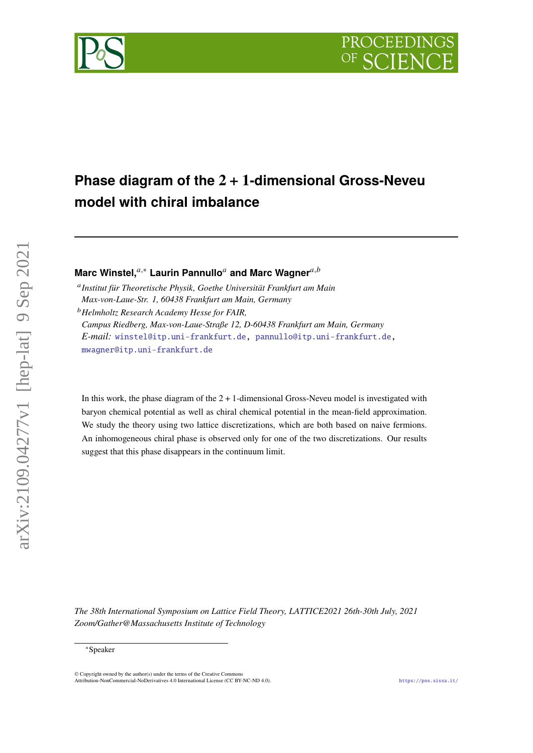



# **Phase diagram of the 2** + **1-dimensional Gross-Neveu model with chiral imbalance**

**Marc Winstel,**<sup>a,∗</sup> Laurin Pannullo<sup>a</sup> and Marc Wagner<sup>a,*b*</sup>

 *Institut für Theoretische Physik, Goethe Universität Frankfurt am Main Max-von-Laue-Str. 1, 60438 Frankfurt am Main, Germany*

*Helmholtz Research Academy Hesse for FAIR,*

*Campus Riedberg, Max-von-Laue-Straße 12, D-60438 Frankfurt am Main, Germany E-mail:* [winstel@itp.uni-frankfurt.de,](mailto:winstel@itp.uni-frankfurt.de) [pannullo@itp.uni-frankfurt.de,](mailto:pannullo@itp.uni-frankfurt.de) [mwagner@itp.uni-frankfurt.de](mailto:mwagner@itp.uni-frankfurt.de)

In this work, the phase diagram of the  $2 + 1$ -dimensional Gross-Neveu model is investigated with baryon chemical potential as well as chiral chemical potential in the mean-field approximation. We study the theory using two lattice discretizations, which are both based on naive fermions. An inhomogeneous chiral phase is observed only for one of the two discretizations. Our results suggest that this phase disappears in the continuum limit.

*The 38th International Symposium on Lattice Field Theory, LATTICE2021 26th-30th July, 2021 Zoom/Gather@Massachusetts Institute of Technology*

<sup>∗</sup>Speaker

 $\odot$  Copyright owned by the author(s) under the terms of the Creative Common Attribution-NonCommercial-NoDerivatives 4.0 International License (CC BY-NC-ND 4.0). <https://pos.sissa.it/>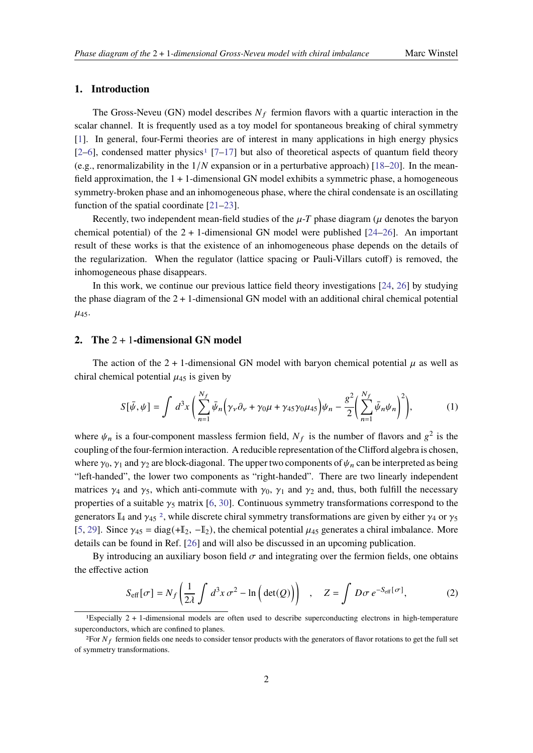# **1. Introduction**

The Gross-Neveu (GN) model describes  $N_f$  fermion flavors with a quartic interaction in the scalar channel. It is frequently used as a toy model for spontaneous breaking of chiral symmetry [\[1\]](#page-6-0). In general, four-Fermi theories are of interest in many applications in high energy physics  $[2-6]$  $[2-6]$ , condensed matter physics<sup>[1](#page-1-0)</sup>  $[7-17]$  $[7-17]$  but also of theoretical aspects of quantum field theory (e.g., renormalizability in the  $1/N$  expansion or in a perturbative approach) [\[18–](#page-7-1)[20\]](#page-7-2). In the meanfield approximation, the  $1 + 1$ -dimensional GN model exhibits a symmetric phase, a homogeneous symmetry-broken phase and an inhomogeneous phase, where the chiral condensate is an oscillating function of the spatial coordinate [\[21](#page-7-3)[–23\]](#page-7-4).

Recently, two independent mean-field studies of the  $\mu$ -T phase diagram ( $\mu$  denotes the baryon chemical potential) of the  $2 + 1$ -dimensional GN model were published  $[24–26]$  $[24–26]$ . An important result of these works is that the existence of an inhomogeneous phase depends on the details of the regularization. When the regulator (lattice spacing or Pauli-Villars cutoff) is removed, the inhomogeneous phase disappears.

In this work, we continue our previous lattice field theory investigations [\[24,](#page-7-5) [26\]](#page-7-6) by studying the phase diagram of the  $2 + 1$ -dimensional GN model with an additional chiral chemical potential  $\mu_{45}$ .

# **2. The** 2 + 1**-dimensional GN model**

The action of the 2 + 1-dimensional GN model with baryon chemical potential  $\mu$  as well as chiral chemical potential  $\mu_{45}$  is given by

$$
S[\bar{\psi}, \psi] = \int d^3x \left( \sum_{n=1}^{N_f} \bar{\psi}_n \left( \gamma_\nu \partial_\nu + \gamma_0 \mu + \gamma_{45} \gamma_0 \mu_{45} \right) \psi_n - \frac{g^2}{2} \left( \sum_{n=1}^{N_f} \bar{\psi}_n \psi_n \right)^2 \right), \tag{1}
$$

where  $\psi_n$  is a four-component massless fermion field,  $N_f$  is the number of flavors and  $g^2$  is the coupling of the four-fermion interaction. A reducible representation of the Clifford algebra is chosen, where  $\gamma_0$ ,  $\gamma_1$  and  $\gamma_2$  are block-diagonal. The upper two components of  $\psi_n$  can be interpreted as being "left-handed", the lower two components as "right-handed". There are two linearly independent matrices  $\gamma_4$  and  $\gamma_5$ , which anti-commute with  $\gamma_0$ ,  $\gamma_1$  and  $\gamma_2$  and, thus, both fulfill the necessary properties of a suitable  $\gamma_5$  matrix [\[6,](#page-6-2) [30\]](#page-8-0). Continuous symmetry transformations correspond to the generators  $\mathbb{I}_4$  and  $\gamma_{45}$  <sup>[2](#page-1-1)</sup>, while discrete chiral symmetry transformations are given by either  $\gamma_4$  or  $\gamma_5$ [\[5,](#page-6-4) [29\]](#page-8-1). Since  $\gamma_{45} = \text{diag}(+I_2, -I_2)$ , the chemical potential  $\mu_{45}$  generates a chiral imbalance. More details can be found in Ref. [\[26\]](#page-7-6) and will also be discussed in an upcoming publication.

By introducing an auxiliary boson field  $\sigma$  and integrating over the fermion fields, one obtains the effective action

<span id="page-1-2"></span>
$$
S_{\text{eff}}[\sigma] = N_f \left( \frac{1}{2\lambda} \int d^3 x \, \sigma^2 - \ln \left( \det(Q) \right) \right) \quad , \quad Z = \int D\sigma \, e^{-S_{\text{eff}}[\sigma]}, \tag{2}
$$

<span id="page-1-0"></span><sup>1</sup>Especially 2 + 1-dimensional models are often used to describe superconducting electrons in high-temperature superconductors, which are confined to planes.

<span id="page-1-1"></span><sup>&</sup>lt;sup>2</sup>For  $N_f$  fermion fields one needs to consider tensor products with the generators of flavor rotations to get the full set of symmetry transformations.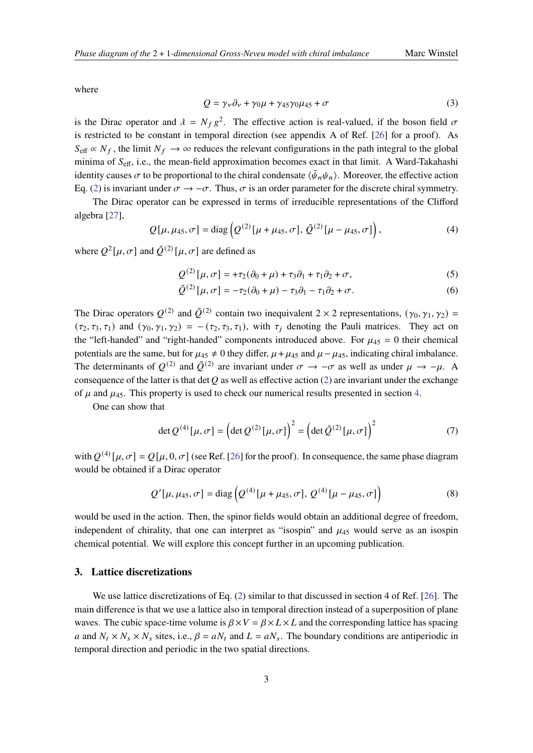where

$$
Q = \gamma_{\nu}\partial_{\nu} + \gamma_0\mu + \gamma_{45}\gamma_0\mu_{45} + \sigma \tag{3}
$$

is the Dirac operator and  $\lambda = N_f g^2$ . The effective action is real-valued, if the boson field  $\sigma$ is restricted to be constant in temporal direction (see appendix A of Ref. [\[26\]](#page-7-6) for a proof). As  $S_{\text{eff}} \propto N_f$ , the limit  $N_f \to \infty$  reduces the relevant configurations in the path integral to the global minima of  $S_{\text{eff}}$ , i.e., the mean-field approximation becomes exact in that limit. A Ward-Takahashi identity causes  $\sigma$  to be proportional to the chiral condensate  $\langle \bar{\psi}_n \psi_n \rangle$ . Moreover, the effective action Eq. [\(2\)](#page-1-2) is invariant under  $\sigma \to -\sigma$ . Thus,  $\sigma$  is an order parameter for the discrete chiral symmetry.

The Dirac operator can be expressed in terms of irreducible representations of the Clifford algebra [\[27\]](#page-7-7),

$$
Q[\mu, \mu_{45}, \sigma] = \text{diag}\left(Q^{(2)}[\mu + \mu_{45}, \sigma], \tilde{Q}^{(2)}[\mu - \mu_{45}, \sigma]\right),\tag{4}
$$

where  $Q^2[\mu, \sigma]$  and  $\tilde{Q}^{(2)}[\mu, \sigma]$  are defined as

$$
Q^{(2)}\left[\mu,\sigma\right] = +\tau_2(\partial_0 + \mu) + \tau_3\partial_1 + \tau_1\partial_2 + \sigma,\tag{5}
$$

$$
\tilde{\mathcal{Q}}^{(2)}[\mu,\sigma] = -\tau_2(\partial_0 + \mu) - \tau_3 \partial_1 - \tau_1 \partial_2 + \sigma. \tag{6}
$$

The Dirac operators  $Q^{(2)}$  and  $\tilde{Q}^{(2)}$  contain two inequivalent 2  $\times$  2 representations,  $(\gamma_0, \gamma_1, \gamma_2)$  =  $(\tau_2, \tau_3, \tau_1)$  and  $(\gamma_0, \gamma_1, \gamma_2) = -(\tau_2, \tau_3, \tau_1)$ , with  $\tau_i$  denoting the Pauli matrices. They act on the "left-handed" and "right-handed" components introduced above. For  $\mu_{45} = 0$  their chemical potentials are the same, but for  $\mu_{45} \neq 0$  they differ,  $\mu + \mu_{45}$  and  $\mu - \mu_{45}$ , indicating chiral imbalance. The determinants of  $Q^{(2)}$  and  $\tilde{Q}^{(2)}$  are invariant under  $\sigma \to -\sigma$  as well as under  $\mu \to -\mu$ . A consequence of the latter is that det  $Q$  as well as effective action [\(2\)](#page-1-2) are invariant under the exchange of  $\mu$  and  $\mu_{45}$ . This property is used to check our numerical results presented in section [4.](#page-3-0)

One can show that

$$
\det Q^{(4)}[\mu, \sigma] = \left(\det Q^{(2)}[\mu, \sigma]\right)^2 = \left(\det \tilde{Q}^{(2)}[\mu, \sigma]\right)^2 \tag{7}
$$

with  $Q^{(4)}[\mu, \sigma] = Q[\mu, 0, \sigma]$  (see Ref. [\[26\]](#page-7-6) for the proof). In consequence, the same phase diagram would be obtained if a Dirac operator

$$
Q'[\mu, \mu_{45}, \sigma] = \text{diag}\left(Q^{(4)}[\mu + \mu_{45}, \sigma], Q^{(4)}[\mu - \mu_{45}, \sigma]\right)
$$
(8)

would be used in the action. Then, the spinor fields would obtain an additional degree of freedom, independent of chirality, that one can interpret as "isospin" and  $\mu_{45}$  would serve as an isospin chemical potential. We will explore this concept further in an upcoming publication.

# **3. Lattice discretizations**

We use lattice discretizations of Eq. [\(2\)](#page-1-2) similar to that discussed in section 4 of Ref. [\[26\]](#page-7-6). The main difference is that we use a lattice also in temporal direction instead of a superposition of plane waves. The cubic space-time volume is  $\beta \times V = \beta \times L \times L$  and the corresponding lattice has spacing a and  $N_t \times N_s \times N_s$  sites, i.e.,  $\beta = aN_t$  and  $L = aN_s$ . The boundary conditions are antiperiodic in temporal direction and periodic in the two spatial directions.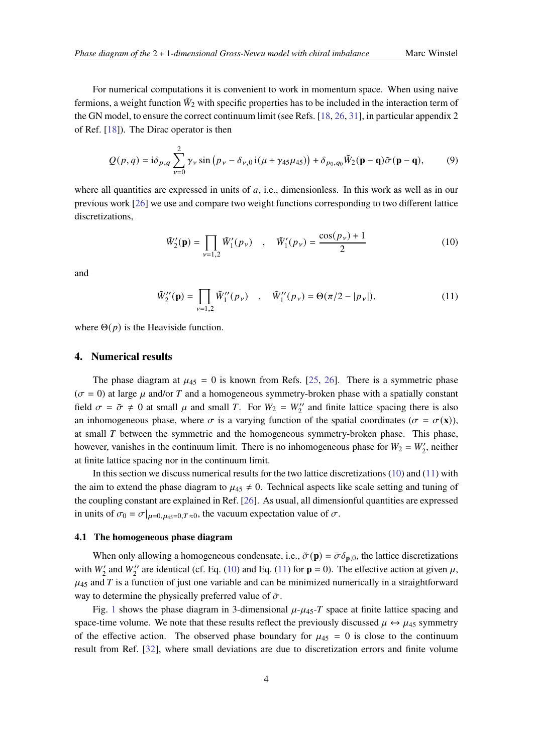For numerical computations it is convenient to work in momentum space. When using naive fermions, a weight function  $\tilde{W}_2$  with specific properties has to be included in the interaction term of the GN model, to ensure the correct continuum limit (see Refs. [\[18,](#page-7-1) [26,](#page-7-6) [31\]](#page-8-2), in particular appendix 2 of Ref. [\[18\]](#page-7-1)). The Dirac operator is then

$$
Q(p,q) = i\delta_{p,q} \sum_{\nu=0}^{2} \gamma_{\nu} \sin (p_{\nu} - \delta_{\nu,0} i(\mu + \gamma_{45}\mu_{45})) + \delta_{p_0,q_0} \tilde{W}_2(\mathbf{p} - \mathbf{q}) \tilde{\sigma}(\mathbf{p} - \mathbf{q}),
$$
 (9)

where all quantities are expressed in units of  $a$ , i.e., dimensionless. In this work as well as in our previous work [\[26\]](#page-7-6) we use and compare two weight functions corresponding to two different lattice discretizations,

<span id="page-3-2"></span><span id="page-3-1"></span>
$$
\tilde{W}'_2(\mathbf{p}) = \prod_{\nu=1,2} \tilde{W}'_1(p_{\nu}) \quad , \quad \tilde{W}'_1(p_{\nu}) = \frac{\cos(p_{\nu}) + 1}{2} \tag{10}
$$

and

$$
\tilde{W}_{2}''(\mathbf{p}) = \prod_{\nu=1,2} \tilde{W}_{1}''(p_{\nu}) \quad , \quad \tilde{W}_{1}''(p_{\nu}) = \Theta(\pi/2 - |p_{\nu}|), \tag{11}
$$

where  $\Theta(p)$  is the Heaviside function.

# <span id="page-3-0"></span>**4. Numerical results**

The phase diagram at  $\mu_{45} = 0$  is known from Refs. [\[25,](#page-7-8) [26\]](#page-7-6). There is a symmetric phase  $(\sigma = 0)$  at large  $\mu$  and/or T and a homogeneous symmetry-broken phase with a spatially constant field  $\sigma = \bar{\sigma} \neq 0$  at small  $\mu$  and small T. For  $W_2 = W_2''$  and finite lattice spacing there is also an inhomogeneous phase, where  $\sigma$  is a varying function of the spatial coordinates ( $\sigma = \sigma(\mathbf{x})$ ), at small  $T$  between the symmetric and the homogeneous symmetry-broken phase. This phase, however, vanishes in the continuum limit. There is no inhomogeneous phase for  $W_2 = W'_2$ , neither at finite lattice spacing nor in the continuum limit.

In this section we discuss numerical results for the two lattice discretizations [\(10\)](#page-3-1) and [\(11\)](#page-3-2) with the aim to extend the phase diagram to  $\mu_{45} \neq 0$ . Technical aspects like scale setting and tuning of the coupling constant are explained in Ref. [\[26\]](#page-7-6). As usual, all dimensionful quantities are expressed in units of  $\sigma_0 = \sigma|_{\mu=0, \mu_{45}=0, T \approx 0}$ , the vacuum expectation value of  $\sigma$ .

## **4.1 The homogeneous phase diagram**

When only allowing a homogeneous condensate, i.e.,  $\tilde{\sigma}(\mathbf{p}) = \bar{\sigma} \delta_{\mathbf{p},0}$ , the lattice discretizations with  $W'_2$  and  $W''_2$  are identical (cf. Eq. [\(10\)](#page-3-1) and Eq. [\(11\)](#page-3-2) for **p** = 0). The effective action at given  $\mu$ ,  $\mu_{45}$  and T is a function of just one variable and can be minimized numerically in a straightforward way to determine the physically preferred value of  $\bar{\sigma}$ .

Fig. [1](#page-4-0) shows the phase diagram in 3-dimensional  $\mu$ - $\mu$ <sub>45</sub>-T space at finite lattice spacing and space-time volume. We note that these results reflect the previously discussed  $\mu \leftrightarrow \mu_{45}$  symmetry of the effective action. The observed phase boundary for  $\mu_{45} = 0$  is close to the continuum result from Ref. [\[32\]](#page-8-3), where small deviations are due to discretization errors and finite volume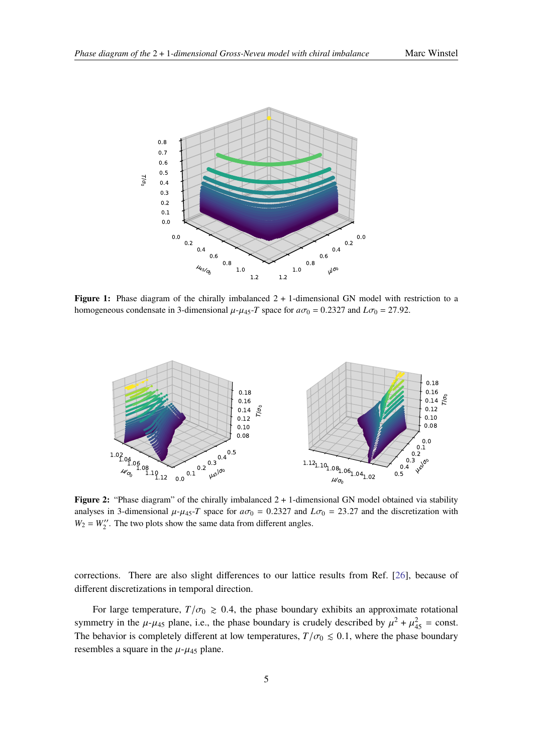<span id="page-4-0"></span>

**Figure 1:** Phase diagram of the chirally imbalanced  $2 + 1$ -dimensional GN model with restriction to a homogeneous condensate in 3-dimensional  $\mu$ - $\mu$ <sub>45</sub>-T space for  $a\sigma_0 = 0.2327$  and  $L\sigma_0 = 27.92$ .

<span id="page-4-1"></span>

**Figure 2:** "Phase diagram" of the chirally imbalanced 2 + 1-dimensional GN model obtained via stability analyses in 3-dimensional  $\mu$ - $\mu$ <sub>45</sub>-T space for  $a\sigma_0 = 0.2327$  and  $L\sigma_0 = 23.27$  and the discretization with  $W_2 = W_2''$ . The two plots show the same data from different angles.

corrections. There are also slight differences to our lattice results from Ref. [\[26\]](#page-7-6), because of different discretizations in temporal direction.

For large temperature,  $T/\sigma_0 \ge 0.4$ , the phase boundary exhibits an approximate rotational symmetry in the  $\mu$ - $\mu$ <sub>45</sub> plane, i.e., the phase boundary is crudely described by  $\mu^2 + \mu_{45}^2 = \text{const.}$ The behavior is completely different at low temperatures,  $T/\sigma_0 \le 0.1$ , where the phase boundary resembles a square in the  $\mu$ - $\mu$ <sub>45</sub> plane.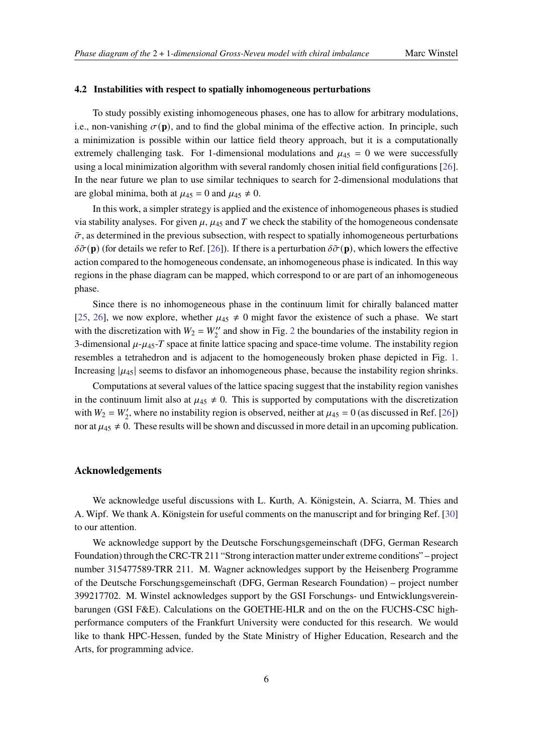## **4.2 Instabilities with respect to spatially inhomogeneous perturbations**

To study possibly existing inhomogeneous phases, one has to allow for arbitrary modulations, i.e., non-vanishing  $\sigma(\mathbf{p})$ , and to find the global minima of the effective action. In principle, such a minimization is possible within our lattice field theory approach, but it is a computationally extremely challenging task. For 1-dimensional modulations and  $\mu_{45} = 0$  we were successfully using a local minimization algorithm with several randomly chosen initial field configurations [\[26\]](#page-7-6). In the near future we plan to use similar techniques to search for 2-dimensional modulations that are global minima, both at  $\mu_{45} = 0$  and  $\mu_{45} \neq 0$ .

In this work, a simpler strategy is applied and the existence of inhomogeneous phases is studied via stability analyses. For given  $\mu$ ,  $\mu_{45}$  and T we check the stability of the homogeneous condensate  $\bar{\sigma}$ , as determined in the previous subsection, with respect to spatially inhomogeneous perturbations  $\delta\tilde{\sigma}(\mathbf{p})$  (for details we refer to Ref. [\[26\]](#page-7-6)). If there is a perturbation  $\delta\tilde{\sigma}(\mathbf{p})$ , which lowers the effective action compared to the homogeneous condensate, an inhomogeneous phase is indicated. In this way regions in the phase diagram can be mapped, which correspond to or are part of an inhomogeneous phase.

Since there is no inhomogeneous phase in the continuum limit for chirally balanced matter [\[25,](#page-7-8) [26\]](#page-7-6), we now explore, whether  $\mu_{45} \neq 0$  might favor the existence of such a phase. We start with the discretization with  $W_2 = W_2''$  $W_2 = W_2''$  $W_2 = W_2''$  and show in Fig. 2 the boundaries of the instability region in 3-dimensional  $\mu$ - $\mu$ <sub>45</sub>-T space at finite lattice spacing and space-time volume. The instability region resembles a tetrahedron and is adjacent to the homogeneously broken phase depicted in Fig. [1.](#page-4-0) Increasing  $|\mu_{45}|$  seems to disfavor an inhomogeneous phase, because the instability region shrinks.

Computations at several values of the lattice spacing suggest that the instability region vanishes in the continuum limit also at  $\mu_{45} \neq 0$ . This is supported by computations with the discretization with  $W_2 = W'_2$ , where no instability region is observed, neither at  $\mu_{45} = 0$  (as discussed in Ref. [\[26\]](#page-7-6)) nor at  $\mu_{45} \neq 0$ . These results will be shown and discussed in more detail in an upcoming publication.

#### **Acknowledgements**

We acknowledge useful discussions with L. Kurth, A. Königstein, A. Sciarra, M. Thies and A. Wipf. We thank A. Königstein for useful comments on the manuscript and for bringing Ref. [\[30\]](#page-8-0) to our attention.

We acknowledge support by the Deutsche Forschungsgemeinschaft (DFG, German Research Foundation) through the CRC-TR 211 "Strong interaction matter under extreme conditions" – project number 315477589-TRR 211. M. Wagner acknowledges support by the Heisenberg Programme of the Deutsche Forschungsgemeinschaft (DFG, German Research Foundation) – project number 399217702. M. Winstel acknowledges support by the GSI Forschungs- und Entwicklungsvereinbarungen (GSI F&E). Calculations on the GOETHE-HLR and on the on the FUCHS-CSC highperformance computers of the Frankfurt University were conducted for this research. We would like to thank HPC-Hessen, funded by the State Ministry of Higher Education, Research and the Arts, for programming advice.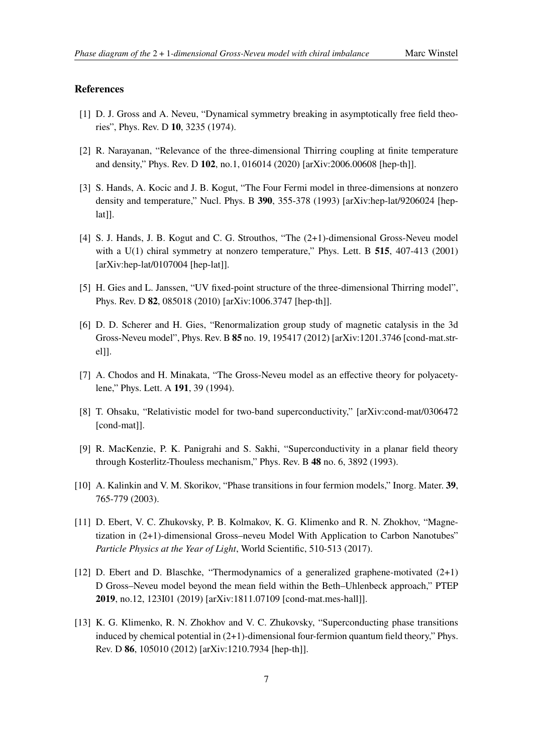## **References**

- <span id="page-6-0"></span>[1] D. J. Gross and A. Neveu, "Dynamical symmetry breaking in asymptotically free field theories", Phys. Rev. D **10**, 3235 (1974).
- <span id="page-6-1"></span>[2] R. Narayanan, "Relevance of the three-dimensional Thirring coupling at finite temperature and density," Phys. Rev. D **102**, no.1, 016014 (2020) [arXiv:2006.00608 [hep-th]].
- [3] S. Hands, A. Kocic and J. B. Kogut, "The Four Fermi model in three-dimensions at nonzero density and temperature," Nucl. Phys. B **390**, 355-378 (1993) [arXiv:hep-lat/9206024 [hep $lat$ ].
- [4] S. J. Hands, J. B. Kogut and C. G. Strouthos, "The (2+1)-dimensional Gross-Neveu model with a U(1) chiral symmetry at nonzero temperature," Phys. Lett. B **515**, 407-413 (2001) [arXiv:hep-lat/0107004 [hep-lat]].
- <span id="page-6-4"></span>[5] H. Gies and L. Janssen, "UV fixed-point structure of the three-dimensional Thirring model", Phys. Rev. D **82**, 085018 (2010) [arXiv:1006.3747 [hep-th]].
- <span id="page-6-2"></span>[6] D. D. Scherer and H. Gies, "Renormalization group study of magnetic catalysis in the 3d Gross-Neveu model", Phys. Rev. B **85** no. 19, 195417 (2012) [arXiv:1201.3746 [cond-mat.strel]].
- <span id="page-6-3"></span>[7] A. Chodos and H. Minakata, "The Gross-Neveu model as an effective theory for polyacetylene," Phys. Lett. A **191**, 39 (1994).
- [8] T. Ohsaku, "Relativistic model for two-band superconductivity," [arXiv:cond-mat/0306472 [cond-mat]].
- [9] R. MacKenzie, P. K. Panigrahi and S. Sakhi, "Superconductivity in a planar field theory through Kosterlitz-Thouless mechanism," Phys. Rev. B **48** no. 6, 3892 (1993).
- [10] A. Kalinkin and V. M. Skorikov, "Phase transitions in four fermion models," Inorg. Mater. **39**, 765-779 (2003).
- [11] D. Ebert, V. C. Zhukovsky, P. B. Kolmakov, K. G. Klimenko and R. N. Zhokhov, "Magnetization in (2+1)-dimensional Gross–neveu Model With Application to Carbon Nanotubes" *Particle Physics at the Year of Light*, World Scientific, 510-513 (2017).
- [12] D. Ebert and D. Blaschke, "Thermodynamics of a generalized graphene-motivated (2+1) D Gross–Neveu model beyond the mean field within the Beth–Uhlenbeck approach," PTEP **2019**, no.12, 123I01 (2019) [arXiv:1811.07109 [cond-mat.mes-hall]].
- [13] K. G. Klimenko, R. N. Zhokhov and V. C. Zhukovsky, "Superconducting phase transitions induced by chemical potential in (2+1)-dimensional four-fermion quantum field theory," Phys. Rev. D **86**, 105010 (2012) [arXiv:1210.7934 [hep-th]].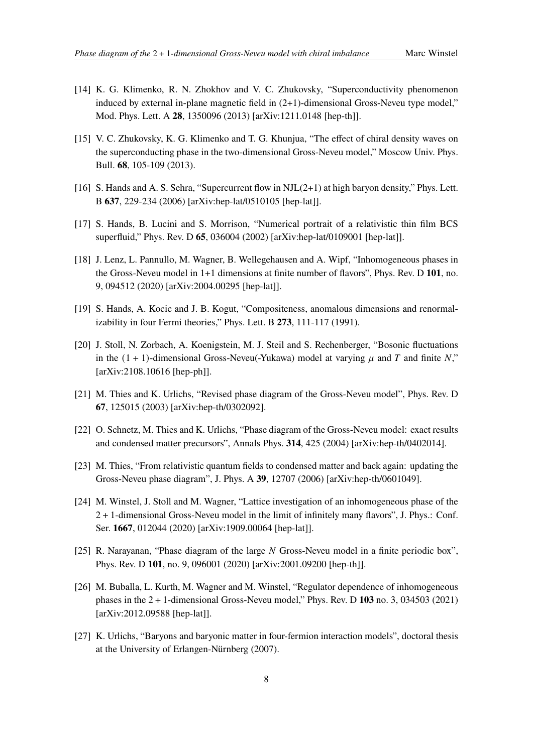- [14] K. G. Klimenko, R. N. Zhokhov and V. C. Zhukovsky, "Superconductivity phenomenon induced by external in-plane magnetic field in (2+1)-dimensional Gross-Neveu type model," Mod. Phys. Lett. A **28**, 1350096 (2013) [arXiv:1211.0148 [hep-th]].
- [15] V. C. Zhukovsky, K. G. Klimenko and T. G. Khunjua, "The effect of chiral density waves on the superconducting phase in the two-dimensional Gross-Neveu model," Moscow Univ. Phys. Bull. **68**, 105-109 (2013).
- [16] S. Hands and A. S. Sehra, "Supercurrent flow in NJL(2+1) at high baryon density," Phys. Lett. B **637**, 229-234 (2006) [arXiv:hep-lat/0510105 [hep-lat]].
- <span id="page-7-0"></span>[17] S. Hands, B. Lucini and S. Morrison, "Numerical portrait of a relativistic thin film BCS superfluid," Phys. Rev. D **65**, 036004 (2002) [arXiv:hep-lat/0109001 [hep-lat]].
- <span id="page-7-1"></span>[18] J. Lenz, L. Pannullo, M. Wagner, B. Wellegehausen and A. Wipf, "Inhomogeneous phases in the Gross-Neveu model in 1+1 dimensions at finite number of flavors", Phys. Rev. D **101**, no. 9, 094512 (2020) [arXiv:2004.00295 [hep-lat]].
- [19] S. Hands, A. Kocic and J. B. Kogut, "Compositeness, anomalous dimensions and renormalizability in four Fermi theories," Phys. Lett. B **273**, 111-117 (1991).
- <span id="page-7-2"></span>[20] J. Stoll, N. Zorbach, A. Koenigstein, M. J. Steil and S. Rechenberger, "Bosonic fluctuations in the  $(1 + 1)$ -dimensional Gross-Neveu(-Yukawa) model at varying  $\mu$  and T and finite N," [arXiv:2108.10616 [hep-ph]].
- <span id="page-7-3"></span>[21] M. Thies and K. Urlichs, "Revised phase diagram of the Gross-Neveu model", Phys. Rev. D **67**, 125015 (2003) [arXiv:hep-th/0302092].
- [22] O. Schnetz, M. Thies and K. Urlichs, "Phase diagram of the Gross-Neveu model: exact results and condensed matter precursors", Annals Phys. **314**, 425 (2004) [arXiv:hep-th/0402014].
- <span id="page-7-4"></span>[23] M. Thies, "From relativistic quantum fields to condensed matter and back again: updating the Gross-Neveu phase diagram", J. Phys. A **39**, 12707 (2006) [arXiv:hep-th/0601049].
- <span id="page-7-5"></span>[24] M. Winstel, J. Stoll and M. Wagner, "Lattice investigation of an inhomogeneous phase of the 2 + 1-dimensional Gross-Neveu model in the limit of infinitely many flavors", J. Phys.: Conf. Ser. **1667**, 012044 (2020) [arXiv:1909.00064 [hep-lat]].
- <span id="page-7-8"></span>[25] R. Narayanan, "Phase diagram of the large N Gross-Neveu model in a finite periodic box", Phys. Rev. D **101**, no. 9, 096001 (2020) [arXiv:2001.09200 [hep-th]].
- <span id="page-7-6"></span>[26] M. Buballa, L. Kurth, M. Wagner and M. Winstel, "Regulator dependence of inhomogeneous phases in the 2 + 1-dimensional Gross-Neveu model," Phys. Rev. D **103** no. 3, 034503 (2021) [arXiv:2012.09588 [hep-lat]].
- <span id="page-7-7"></span>[27] K. Urlichs, "Baryons and baryonic matter in four-fermion interaction models", doctoral thesis at the University of Erlangen-Nürnberg (2007).